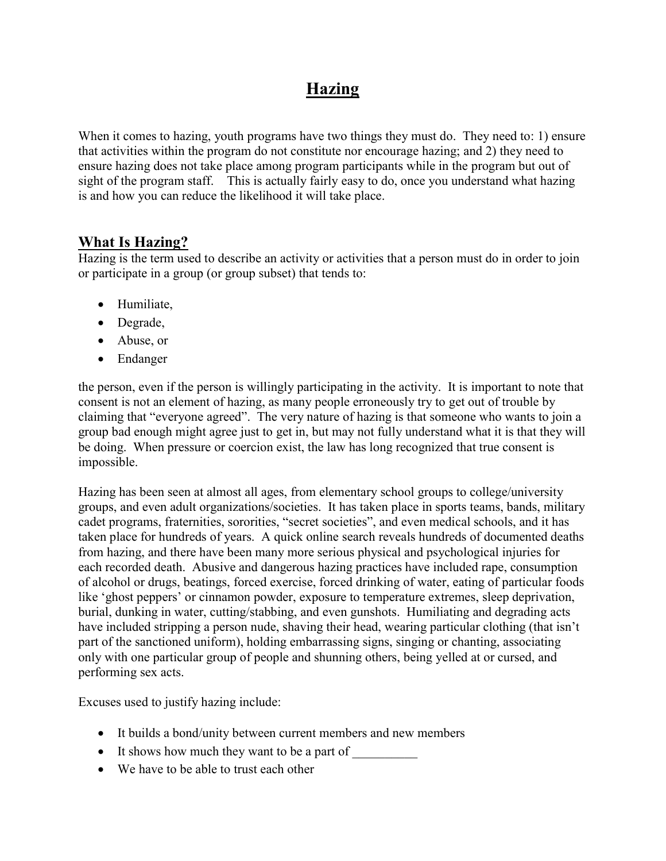## Hazing

When it comes to hazing, youth programs have two things they must do. They need to: 1) ensure that activities within the program do not constitute nor encourage hazing; and 2) they need to ensure hazing does not take place among program participants while in the program but out of sight of the program staff. This is actually fairly easy to do, once you understand what hazing is and how you can reduce the likelihood it will take place.

## What Is Hazing?

Hazing is the term used to describe an activity or activities that a person must do in order to join or participate in a group (or group subset) that tends to:

- Humiliate,
- Degrade,
- Abuse, or
- Endanger

the person, even if the person is willingly participating in the activity. It is important to note that consent is not an element of hazing, as many people erroneously try to get out of trouble by claiming that "everyone agreed". The very nature of hazing is that someone who wants to join a group bad enough might agree just to get in, but may not fully understand what it is that they will be doing. When pressure or coercion exist, the law has long recognized that true consent is impossible.

Hazing has been seen at almost all ages, from elementary school groups to college/university groups, and even adult organizations/societies. It has taken place in sports teams, bands, military cadet programs, fraternities, sororities, "secret societies", and even medical schools, and it has taken place for hundreds of years. A quick online search reveals hundreds of documented deaths from hazing, and there have been many more serious physical and psychological injuries for each recorded death. Abusive and dangerous hazing practices have included rape, consumption of alcohol or drugs, beatings, forced exercise, forced drinking of water, eating of particular foods like 'ghost peppers' or cinnamon powder, exposure to temperature extremes, sleep deprivation, burial, dunking in water, cutting/stabbing, and even gunshots. Humiliating and degrading acts have included stripping a person nude, shaving their head, wearing particular clothing (that isn't part of the sanctioned uniform), holding embarrassing signs, singing or chanting, associating only with one particular group of people and shunning others, being yelled at or cursed, and performing sex acts.

Excuses used to justify hazing include:

- It builds a bond/unity between current members and new members
- It shows how much they want to be a part of
- We have to be able to trust each other